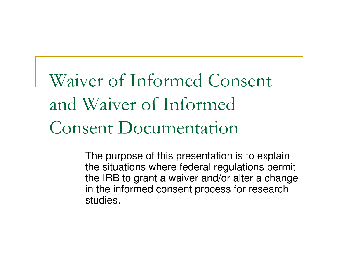Waiver of Informed Consent and Waiver of Informed Consent Documentation

> The purpose of this presentation is to explain the situations where federal regulations permit the IRB to grant a waiver and/or alter a change in the informed consent process for research studies.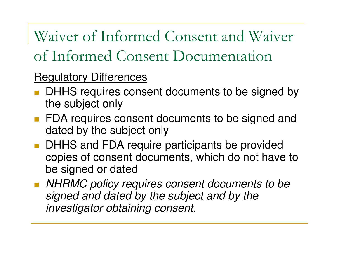Waiver of Informed Consent and Waiver of Informed Consent Documentation

### Regulatory Differences

- **DHHS requires consent documents to be signed by** the subject only
- **FDA requires consent documents to be signed and** dated by the subject only
- **DHHS and FDA require participants be provided** copies of consent documents, which do not have to be signed or dated
- NHRMC policy requires consent documents to be signed and dated by the subject and by the investigator obtaining consent.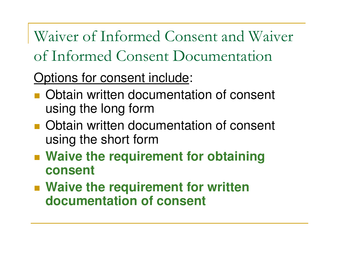Waiver of Informed Consent and Waiver of Informed Consent Documentation

## Options for consent include:

- **Obtain written documentation of consent** using the long form
- **UDIAIN Written do Obtain written documentation of consent** using the short form
- **E Walve the reduir**d **Waive the requirement for obtaining consent**
- **Waive the requirement for written documentation of consent**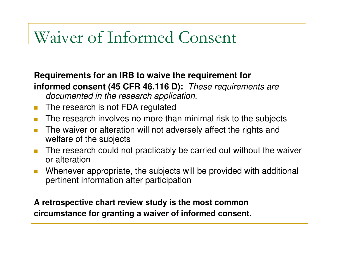# Waiver of Informed Consent

#### **Requirements for an IRB to waive the requirement for informed consent (45 CFR 46.116 D):** These requirements are documented in the research application.

- $\mathcal{C}^{\mathcal{A}}$ The research is not FDA regulated
- **The research involves no more than minimal risk to the subjects**  $\mathcal{O}(\mathbb{R}^d)$
- $\mathcal{L}_{\mathcal{A}}$  The waiver or alteration will not adversely affect the rights and welfare of the subjects
- The research could not practicably be carried out without the waiver  $\mathcal{L}_{\mathcal{A}}$ or alteration
- **Numerand Musics** Whenever appropriate, the subjects will be provided with additional  $\mathcal{L}_{\mathcal{A}}$ pertinent information after participation

### **A retrospective chart review study is the most common circumstance for granting a waiver of informed consent.**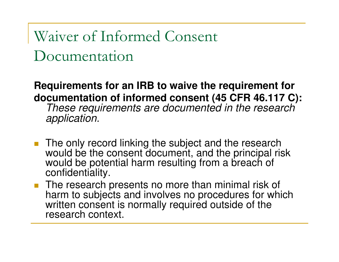Waiver of Informed Consent Documentation

**Requirements for an IRB to waive the requirement fordocumentation of informed consent (45 CFR 46.117 C):** 

These requirements are documented in the research application.

- The only record linking the subject and the research would be the consent document, and the principal risk would be potential harm resulting from a breach of confidentiality.
- The research presents no more than minimal risk of harm to subjects and involves no procedures for which written consent is normally required outside of the research context.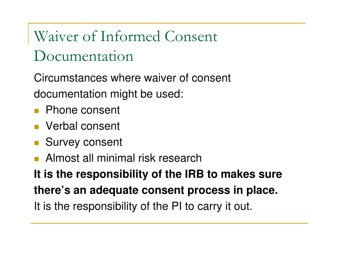Waiver of Informed Consent Documentation

Circumstances where waiver of consent documentation might be used:

- Phone consent
- Verbal consent
- Survey consent
- **Almost all minimal risk research**

**It is the responsibility of the IRB to makes sure there's an adequate consent process in place.**It is the responsibility of the PI to carry it out.